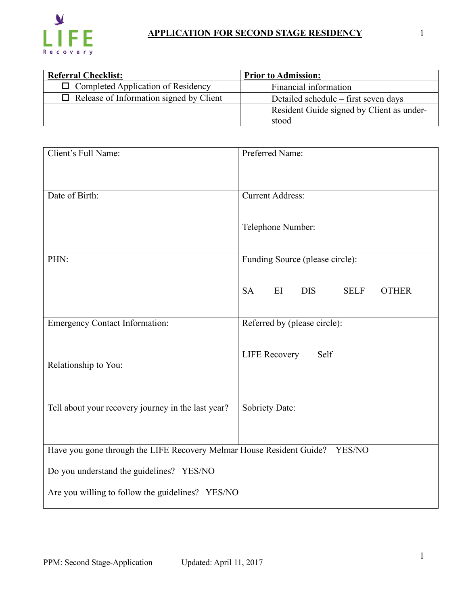

| <b>Referral Checklist:</b>                     | <b>Prior to Admission:</b>                         |  |  |
|------------------------------------------------|----------------------------------------------------|--|--|
| $\Box$ Completed Application of Residency      | Financial information                              |  |  |
| $\Box$ Release of Information signed by Client | Detailed schedule – first seven days               |  |  |
|                                                | Resident Guide signed by Client as under-<br>stood |  |  |

| Client's Full Name:                                                         | Preferred Name:                                              |  |  |
|-----------------------------------------------------------------------------|--------------------------------------------------------------|--|--|
| Date of Birth:                                                              | <b>Current Address:</b>                                      |  |  |
|                                                                             | Telephone Number:                                            |  |  |
| PHN:                                                                        | Funding Source (please circle):                              |  |  |
|                                                                             | <b>SA</b><br><b>DIS</b><br><b>SELF</b><br>EI<br><b>OTHER</b> |  |  |
| <b>Emergency Contact Information:</b>                                       | Referred by (please circle):                                 |  |  |
| Relationship to You:                                                        | <b>LIFE Recovery</b><br>Self                                 |  |  |
| Tell about your recovery journey in the last year?                          | Sobriety Date:                                               |  |  |
| Have you gone through the LIFE Recovery Melmar House Resident Guide? YES/NO |                                                              |  |  |
| Do you understand the guidelines? YES/NO                                    |                                                              |  |  |
| Are you willing to follow the guidelines? YES/NO                            |                                                              |  |  |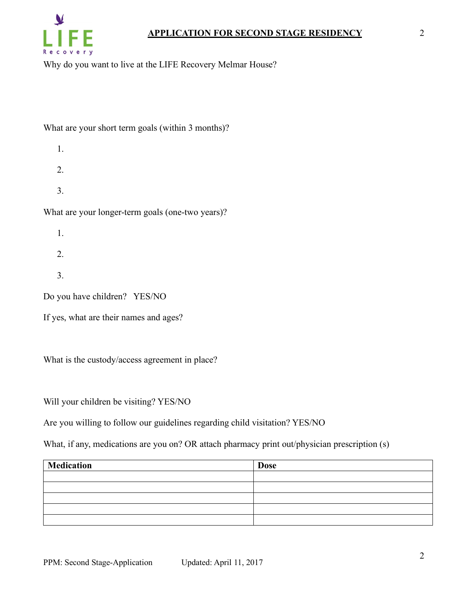

Why do you want to live at the LIFE Recovery Melmar House?

## What are your short term goals (within 3 months)?

- 1.
- 
- 2.
- 3.

What are your longer-term goals (one-two years)?

- 1.
- 2.
- 
- 3.

Do you have children? YES/NO

If yes, what are their names and ages?

What is the custody/access agreement in place?

Will your children be visiting? YES/NO

Are you willing to follow our guidelines regarding child visitation? YES/NO

What, if any, medications are you on? OR attach pharmacy print out/physician prescription (s)

| Medication | <b>Dose</b> |
|------------|-------------|
|            |             |
|            |             |
|            |             |
|            |             |
|            |             |

2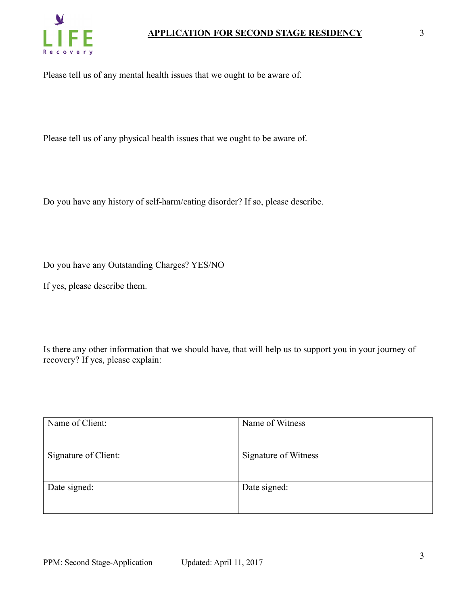

Please tell us of any mental health issues that we ought to be aware of.

Please tell us of any physical health issues that we ought to be aware of.

Do you have any history of self-harm/eating disorder? If so, please describe.

Do you have any Outstanding Charges? YES/NO

If yes, please describe them.

Is there any other information that we should have, that will help us to support you in your journey of recovery? If yes, please explain:

| Name of Client:      | Name of Witness      |
|----------------------|----------------------|
|                      |                      |
| Signature of Client: | Signature of Witness |
|                      |                      |
| Date signed:         | Date signed:         |
|                      |                      |